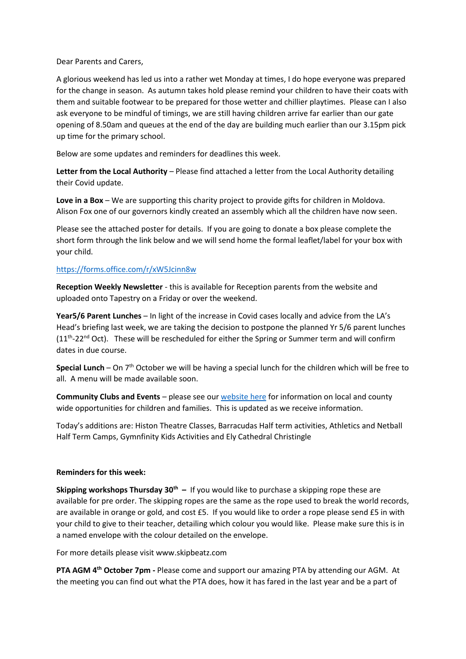Dear Parents and Carers,

A glorious weekend has led us into a rather wet Monday at times, I do hope everyone was prepared for the change in season. As autumn takes hold please remind your children to have their coats with them and suitable footwear to be prepared for those wetter and chillier playtimes. Please can I also ask everyone to be mindful of timings, we are still having children arrive far earlier than our gate opening of 8.50am and queues at the end of the day are building much earlier than our 3.15pm pick up time for the primary school.

Below are some updates and reminders for deadlines this week.

**Letter from the Local Authority** – Please find attached a letter from the Local Authority detailing their Covid update.

**Love in a Box** – We are supporting this charity project to provide gifts for children in Moldova. Alison Fox one of our governors kindly created an assembly which all the children have now seen.

Please see the attached poster for details. If you are going to donate a box please complete the short form through the link below and we will send home the formal leaflet/label for your box with your child.

## <https://forms.office.com/r/xW5Jcinn8w>

**Reception Weekly Newsletter** - this is available for Reception parents from the website and uploaded onto Tapestry on a Friday or over the weekend.

**Year5/6 Parent Lunches** – In light of the increase in Covid cases locally and advice from the LA's Head's briefing last week, we are taking the decision to postpone the planned Yr 5/6 parent lunches  $(11<sup>th</sup>-22<sup>nd</sup> Oct)$ . These will be rescheduled for either the Spring or Summer term and will confirm dates in due course.

**Special Lunch** – On 7th October we will be having a special lunch for the children which will be free to all. A menu will be made available soon.

**Community Clubs and Events** – please see our [website here](https://www.swavesey.cambs.sch.uk/page/?title=Community+Partner+Information&pid=33&action=saved) for information on local and county wide opportunities for children and families. This is updated as we receive information.

Today's additions are: Histon Theatre Classes, Barracudas Half term activities, Athletics and Netball Half Term Camps, Gymnfinity Kids Activities and Ely Cathedral Christingle

## **Reminders for this week:**

**Skipping workshops Thursday 30th –** If you would like to purchase a skipping rope these are available for pre order. The skipping ropes are the same as the rope used to break the world records, are available in orange or gold, and cost £5. If you would like to order a rope please send £5 in with your child to give to their teacher, detailing which colour you would like. Please make sure this is in a named envelope with the colour detailed on the envelope.

For more details please visit www.skipbeatz.com

**PTA AGM 4th October 7pm -** Please come and support our amazing PTA by attending our AGM. At the meeting you can find out what the PTA does, how it has fared in the last year and be a part of